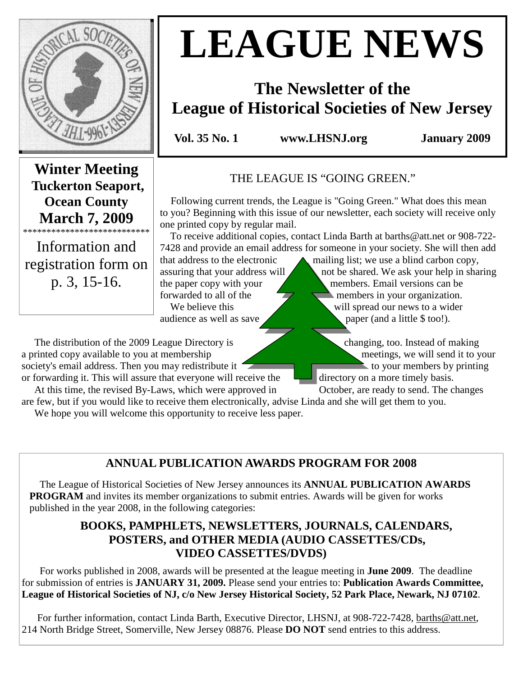

# **LEAGUE NEWS**

# **The Newsletter of the League of Historical Societies of New Jersey**

**Vol. 35 No. 1 www.LHSNJ.org January 2009** 

**Winter Meeting Tuckerton Seaport, Ocean County March 7, 2009** 

\*\*\*\*\*\*\*\*\*\*\*\*\*\*\*\*\*\*\*\*\*\*\*\*\*\*\*

Information and registration form on p. 3, 15-16.

THE LEAGUE IS "GOING GREEN."

 Following current trends, the League is "Going Green." What does this mean to you? Beginning with this issue of our newsletter, each society will receive only one printed copy by regular mail.

 To receive additional copies, contact Linda Barth at barths@att.net or 908-722- 7428 and provide an email address for someone in your society. She will then add

that address to the electronic  $\triangle$  mailing list; we use a blind carbon copy, assuring that your address will  $\triangle$  not be shared. We ask your help in sharing the paper copy with your members. Email versions can be forwarded to all of the  $\sqrt{1/2}$  members in your organization. We believe this will spread our news to a wider audience as well as save paper (and a little \$ too!).

The distribution of the 2009 League Directory is changing, too. Instead of making a printed copy available to you at membership meetings, we will send it to your society's email address. Then you may redistribute it to your members by printing or forwarding it. This will assure that everyone will receive the directory on a more timely basis.

At this time, the revised By-Laws, which were approved in October, are ready to send. The changes

are few, but if you would like to receive them electronically, advise Linda and she will get them to you. We hope you will welcome this opportunity to receive less paper.

**ANNUAL PUBLICATION AWARDS PROGRAM FOR 2008** 

 The League of Historical Societies of New Jersey announces its **ANNUAL PUBLICATION AWARDS PROGRAM** and invites its member organizations to submit entries. Awards will be given for works published in the year 2008, in the following categories:

# **BOOKS, PAMPHLETS, NEWSLETTERS, JOURNALS, CALENDARS, POSTERS, and OTHER MEDIA (AUDIO CASSETTES/CDs, VIDEO CASSETTES/DVDS)**

 For works published in 2008, awards will be presented at the league meeting in **June 2009**. The deadline for submission of entries is **JANUARY 31, 2009.** Please send your entries to: **Publication Awards Committee, League of Historical Societies of NJ, c/o New Jersey Historical Society, 52 Park Place, Newark, NJ 07102**.

For further information, contact Linda Barth, Executive Director, LHSNJ, at 908-722-7428, barths@att.net, 214 North Bridge Street, Somerville, New Jersey 08876. Please **DO NOT** send entries to this address.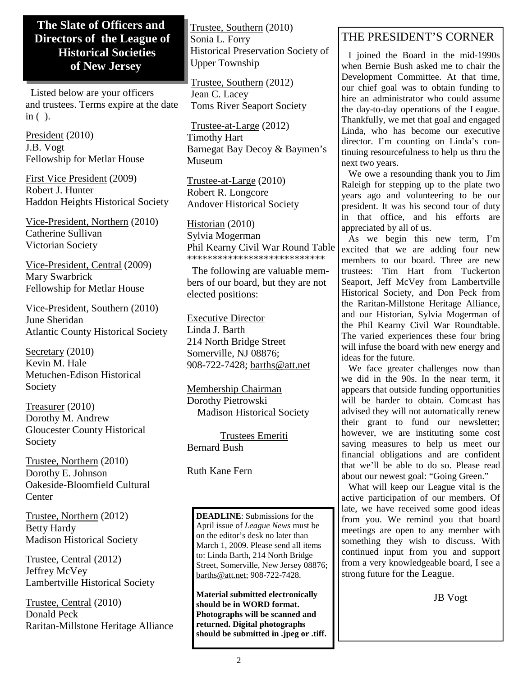# **The Slate of Officers and Directors of the League of Historical Societies of New Jersey**

 Listed below are your officers and trustees. Terms expire at the date in ( ).

President (2010) J.B. Vogt Fellowship for Metlar House

First Vice President (2009) Robert J. Hunter Haddon Heights Historical Society

Vice-President, Northern (2010) Catherine Sullivan Victorian Society

Vice-President, Central (2009) Mary Swarbrick Fellowship for Metlar House

Vice-President, Southern (2010) June Sheridan Atlantic County Historical Society

Secretary (2010) Kevin M. Hale Metuchen-Edison Historical Society

Treasurer (2010) Dorothy M. Andrew Gloucester County Historical Society

Trustee, Northern (2010) Dorothy E. Johnson Oakeside-Bloomfield Cultural **Center** 

Trustee, Northern (2012) Betty Hardy Madison Historical Society

Trustee, Central (2012) Jeffrey McVey Lambertville Historical Society

Trustee, Central (2010) Donald Peck Raritan-Millstone Heritage Alliance Trustee, Southern (2010) Sonia L. Forry Historical Preservation Society of Upper Township

Trustee, Southern (2012) Jean C. Lacey Toms River Seaport Society

Trustee-at-Large (2012) Timothy Hart Barnegat Bay Decoy & Baymen's Museum

Trustee-at-Large (2010) Robert R. Longcore Andover Historical Society

Historian (2010) Sylvia Mogerman Phil Kearny Civil War Round Table \*\*\*\*\*\*\*\*\*\*\*\*\*\*\*\*\*\*\*\*\*\*\*\*\*\*\*

 The following are valuable members of our board, but they are not elected positions:

Executive Director Linda J. Barth 214 North Bridge Street Somerville, NJ 08876; 908-722-7428; barths@att.net

Membership Chairman Dorothy Pietrowski Madison Historical Society

 Trustees Emeriti Bernard Bush

Ruth Kane Fern

**DEADLINE**: Submissions for the April issue of *League News* must be on the editor's desk no later than March 1, 2009. Please send all items to: Linda Barth, 214 North Bridge Street, Somerville, New Jersey 08876; barths@att.net; 908-722-7428.

**Material submitted electronically should be in WORD format. Photographs will be scanned and returned. Digital photographs should be submitted in .jpeg or .tiff.** 

# THE PRESIDENT'S CORNER

 I joined the Board in the mid-1990s when Bernie Bush asked me to chair the Development Committee. At that time, our chief goal was to obtain funding to hire an administrator who could assume the day-to-day operations of the League. Thankfully, we met that goal and engaged Linda, who has become our executive director. I'm counting on Linda's continuing resourcefulness to help us thru the next two years.

 We owe a resounding thank you to Jim Raleigh for stepping up to the plate two years ago and volunteering to be our president. It was his second tour of duty in that office, and his efforts are appreciated by all of us.

 As we begin this new term, I'm excited that we are adding four new members to our board. Three are new trustees: Tim Hart from Tuckerton Seaport, Jeff McVey from Lambertville Historical Society, and Don Peck from the Raritan-Millstone Heritage Alliance, and our Historian, Sylvia Mogerman of the Phil Kearny Civil War Roundtable. The varied experiences these four bring will infuse the board with new energy and ideas for the future.

 We face greater challenges now than we did in the 90s. In the near term, it appears that outside funding opportunities will be harder to obtain. Comcast has advised they will not automatically renew their grant to fund our newsletter; however, we are instituting some cost saving measures to help us meet our financial obligations and are confident that we'll be able to do so. Please read about our newest goal: "Going Green."

 What will keep our League vital is the active participation of our members. Of late, we have received some good ideas from you. We remind you that board meetings are open to any member with something they wish to discuss. With continued input from you and support from a very knowledgeable board, I see a strong future for the League.

JB Vogt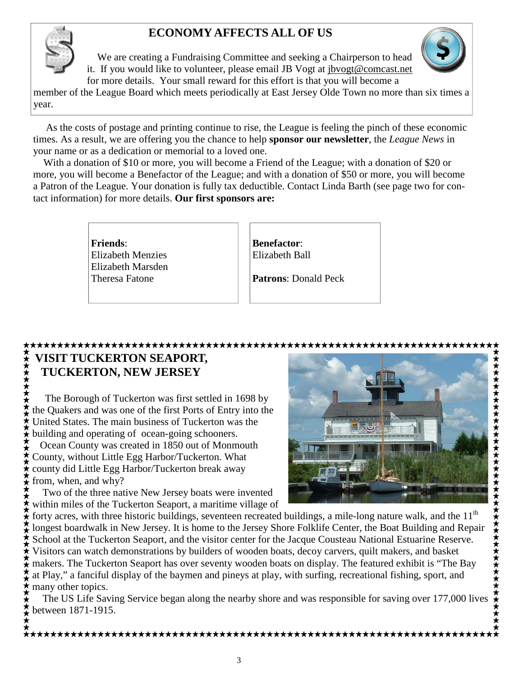# **ECONOMY AFFECTS ALL OF US**



 We are creating a Fundraising Committee and seeking a Chairperson to head it. If you would like to volunteer, please email JB Vogt at jbvogt@comcast.net for more details. Your small reward for this effort is that you will become a



member of the League Board which meets periodically at East Jersey Olde Town no more than six times a year.

 As the costs of postage and printing continue to rise, the League is feeling the pinch of these economic times. As a result, we are offering you the chance to help **sponsor our newsletter**, the *League News* in your name or as a dedication or memorial to a loved one.

 With a donation of \$10 or more, you will become a Friend of the League; with a donation of \$20 or more, you will become a Benefactor of the League; and with a donation of \$50 or more, you will become a Patron of the League. Your donation is fully tax deductible. Contact Linda Barth (see page two for contact information) for more details. **Our first sponsors are:** 

> **Friends**: Elizabeth Menzies Elizabeth Marsden Theresa Fatone

**Benefactor**: Elizabeth Ball

**Patrons**: Donald Peck

## **VISIT TUCKERTON SEAPORT,**

# **TUCKERTON, NEW JERSEY**

The Borough of Tuckerton was first settled in 1698 by the Quakers and was one of the first Ports of Entry into the United States. The main business of Tuckerton was the building and operating of ocean-going schooners. Ocean County was created in 1850 out of Monmouth County, without Little Egg Harbor/Tuckerton. What county did Little Egg Harbor/Tuckerton break away  $\star$  from, when, and why?

 Two of the three native New Jersey boats were invented within miles of the Tuckerton Seaport, a maritime village of



forty acres, with three historic buildings, seventeen recreated buildings, a mile-long nature walk, and the  $11<sup>th</sup>$ longest boardwalk in New Jersey. It is home to the Jersey Shore Folklife Center, the Boat Building and Repair School at the Tuckerton Seaport, and the visitor center for the Jacque Cousteau National Estuarine Reserve. Visitors can watch demonstrations by builders of wooden boats, decoy carvers, quilt makers, and basket  $\mathcal F$  makers. The Tuckerton Seaport has over seventy wooden boats on display. The featured exhibit is "The Bay at Play," a fanciful display of the baymen and pineys at play, with surfing, recreational fishing, sport, and  $\star$  many other topics.

 The US Life Saving Service began along the nearby shore and was responsible for saving over 177,000 lives between 1871-1915.

\*\*\*\*\*\*\*\*\*\*\*\*\*\*\*\*\*\*\*\*\*\*\*\*\*\*\*\*\*\*\*\*\*\*\*\*\*\*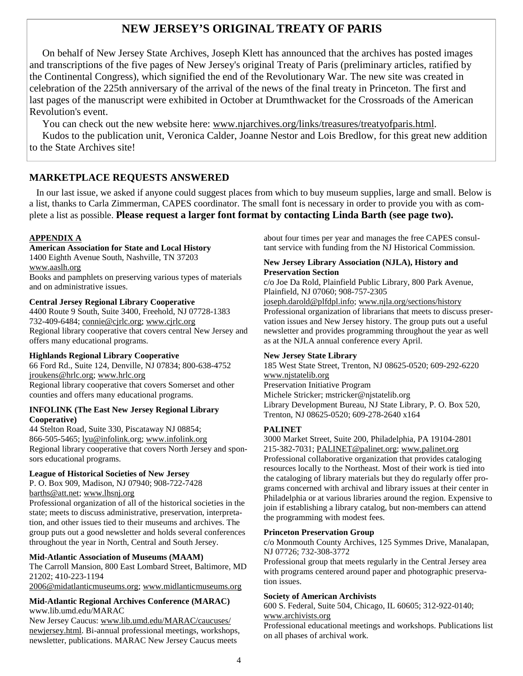# **NEW JERSEY'S ORIGINAL TREATY OF PARIS**

 On behalf of New Jersey State Archives, Joseph Klett has announced that the archives has posted images and transcriptions of the five pages of New Jersey's original Treaty of Paris (preliminary articles, ratified by the Continental Congress), which signified the end of the Revolutionary War. The new site was created in celebration of the 225th anniversary of the arrival of the news of the final treaty in Princeton. The first and last pages of the manuscript were exhibited in October at Drumthwacket for the Crossroads of the American Revolution's event.

 You can check out the new website here: www.njarchives.org/links/treasures/treatyofparis.html. Kudos to the publication unit, Veronica Calder, Joanne Nestor and Lois Bredlow, for this great new addition to the State Archives site!

#### **MARKETPLACE REQUESTS ANSWERED**

 In our last issue, we asked if anyone could suggest places from which to buy museum supplies, large and small. Below is a list, thanks to Carla Zimmerman, CAPES coordinator. The small font is necessary in order to provide you with as complete a list as possible. **Please request a larger font format by contacting Linda Barth (see page two).**

#### **APPENDIX A**

#### **American Association for State and Local History**

1400 Eighth Avenue South, Nashville, TN 37203 www.aaslh.org

Books and pamphlets on preserving various types of materials and on administrative issues.

#### **Central Jersey Regional Library Cooperative**

4400 Route 9 South, Suite 3400, Freehold, NJ 07728-1383 732-409-6484; connie@cjrlc.org; www.cjrlc.org Regional library cooperative that covers central New Jersey and

# offers many educational programs.

**Highlands Regional Library Cooperative**  66 Ford Rd., Suite 124, Denville, NJ 07834; 800-638-4752 jroukens@hrlc.org; www.hrlc.org Regional library cooperative that covers Somerset and other counties and offers many educational programs.

#### **INFOLINK (The East New Jersey Regional Library Cooperative)**

44 Stelton Road, Suite 330, Piscataway NJ 08854; 866-505-5465; lyu@infolink.org; www.infolink.org Regional library cooperative that covers North Jersey and sponsors educational programs.

#### **League of Historical Societies of New Jersey**

P. O. Box 909, Madison, NJ 07940; 908-722-7428 barths@att.net; www.lhsnj.org

Professional organization of all of the historical societies in the state; meets to discuss administrative, preservation, interpretation, and other issues tied to their museums and archives. The group puts out a good newsletter and holds several conferences throughout the year in North, Central and South Jersey.

#### **Mid-Atlantic Association of Museums (MAAM)**

The Carroll Mansion, 800 East Lombard Street, Baltimore, MD 21202; 410-223-1194

2006@midatlanticmuseums.org; www.midlanticmuseums.org

#### **Mid-Atlantic Regional Archives Conference (MARAC)**  www.lib.umd.edu/MARAC

New Jersey Caucus: www.lib.umd.edu/MARAC/caucuses/ newjersey.html. Bi-annual professional meetings, workshops, newsletter, publications. MARAC New Jersey Caucus meets

about four times per year and manages the free CAPES consultant service with funding from the NJ Historical Commission.

#### **New Jersey Library Association (NJLA), History and Preservation Section**

c/o Joe Da Rold, Plainfield Public Library, 800 Park Avenue, Plainfield, NJ 07060; 908-757-2305

joseph.darold@plfdpl.info; www.njla.org/sections/history Professional organization of librarians that meets to discuss preservation issues and New Jersey history. The group puts out a useful newsletter and provides programming throughout the year as well as at the NJLA annual conference every April.

#### **New Jersey State Library**

185 West State Street, Trenton, NJ 08625-0520; 609-292-6220 www.njstatelib.org Preservation Initiative Program Michele Stricker; mstricker@njstatelib.org Library Development Bureau, NJ State Library, P. O. Box 520, Trenton, NJ 08625-0520; 609-278-2640 x164

#### **PALINET**

3000 Market Street, Suite 200, Philadelphia, PA 19104-2801 215-382-7031; PALINET@palinet.org; www.palinet.org Professional collaborative organization that provides cataloging resources locally to the Northeast. Most of their work is tied into the cataloging of library materials but they do regularly offer programs concerned with archival and library issues at their center in Philadelphia or at various libraries around the region. Expensive to join if establishing a library catalog, but non-members can attend the programming with modest fees.

#### **Princeton Preservation Group**

c/o Monmouth County Archives, 125 Symmes Drive, Manalapan, NJ 07726; 732-308-3772

Professional group that meets regularly in the Central Jersey area with programs centered around paper and photographic preservation issues.

#### **Society of American Archivists**

600 S. Federal, Suite 504, Chicago, IL 60605; 312-922-0140; www.archivists.org

Professional educational meetings and workshops. Publications list on all phases of archival work.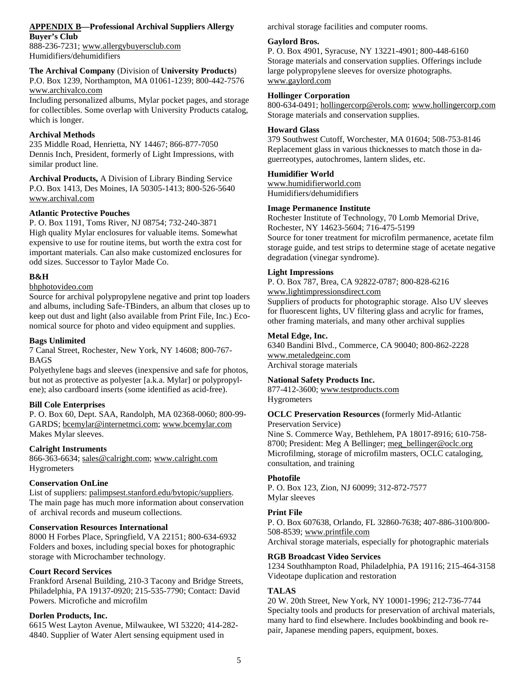#### **APPENDIX B—Professional Archival Suppliers Allergy**

**Buyer's Club** 

888-236-7231; www.allergybuyersclub.com Humidifiers/dehumidifiers

#### **The Archival Company** (Division of **University Products**)

P.O. Box 1239, Northampton, MA 01061-1239; 800-442-7576 www.archivalco.com

Including personalized albums, Mylar pocket pages, and storage for collectibles. Some overlap with University Products catalog, which is longer.

#### **Archival Methods**

235 Middle Road, Henrietta, NY 14467; 866-877-7050 Dennis Inch, President, formerly of Light Impressions, with similar product line.

**Archival Products,** A Division of Library Binding Service P.O. Box 1413, Des Moines, IA 50305-1413; 800-526-5640 www.archival.com

#### **Atlantic Protective Pouches**

P. O. Box 1191, Toms River, NJ 08754; 732-240-3871 High quality Mylar enclosures for valuable items. Somewhat expensive to use for routine items, but worth the extra cost for important materials. Can also make customized enclosures for odd sizes. Successor to Taylor Made Co.

#### **B&H**

#### bhphotovideo.com

Source for archival polypropylene negative and print top loaders and albums, including Safe-TBinders, an album that closes up to keep out dust and light (also available from Print File, Inc.) Economical source for photo and video equipment and supplies.

#### **Bags Unlimited**

7 Canal Street, Rochester, New York, NY 14608; 800-767- BAGS

Polyethylene bags and sleeves (inexpensive and safe for photos, but not as protective as polyester [a.k.a. Mylar] or polypropylene); also cardboard inserts (some identified as acid-free).

#### **Bill Cole Enterprises**

P. O. Box 60, Dept. SAA, Randolph, MA 02368-0060; 800-99- GARDS; bcemylar@internetmci.com; www.bcemylar.com Makes Mylar sleeves.

#### **Calright Instruments**

866-363-6634; sales@calright.com; www.calright.com **Hygrometers** 

#### **Conservation OnLine**

List of suppliers: palimpsest.stanford.edu/bytopic/suppliers. The main page has much more information about conservation of archival records and museum collections.

#### **Conservation Resources International**

8000 H Forbes Place, Springfield, VA 22151; 800-634-6932 Folders and boxes, including special boxes for photographic storage with Microchamber technology.

#### **Court Record Services**

Frankford Arsenal Building, 210-3 Tacony and Bridge Streets, Philadelphia, PA 19137-0920; 215-535-7790; Contact: David Powers. Microfiche and microfilm

#### **Dorlen Products, Inc.**

6615 West Layton Avenue, Milwaukee, WI 53220; 414-282- 4840. Supplier of Water Alert sensing equipment used in

archival storage facilities and computer rooms.

#### **Gaylord Bros.**

P. O. Box 4901, Syracuse, NY 13221-4901; 800-448-6160 Storage materials and conservation supplies. Offerings include large polypropylene sleeves for oversize photographs. www.gaylord.com

#### **Hollinger Corporation**

800-634-0491; hollingercorp@erols.com; www.hollingercorp.com Storage materials and conservation supplies.

#### **Howard Glass**

379 Southwest Cutoff, Worchester, MA 01604; 508-753-8146 Replacement glass in various thicknesses to match those in daguerreotypes, autochromes, lantern slides, etc.

#### **Humidifier World**

www.humidifierworld.com Humidifiers/dehumidifiers

#### **Image Permanence Institute**

Rochester Institute of Technology, 70 Lomb Memorial Drive, Rochester, NY 14623-5604; 716-475-5199

Source for toner treatment for microfilm permanence, acetate film storage guide, and test strips to determine stage of acetate negative degradation (vinegar syndrome).

#### **Light Impressions**

P. O. Box 787, Brea, CA 92822-0787; 800-828-6216

#### www.lightimpressionsdirect.com

Suppliers of products for photographic storage. Also UV sleeves for fluorescent lights, UV filtering glass and acrylic for frames, other framing materials, and many other archival supplies

#### **Metal Edge, Inc.**

6340 Bandini Blvd., Commerce, CA 90040; 800-862-2228 www.metaledgeinc.com Archival storage materials

## **National Safety Products Inc.**

877-412-3600; www.testproducts.com Hygrometers

#### **OCLC Preservation Resources** (formerly Mid-Atlantic

Preservation Service) Nine S. Commerce Way, Bethlehem, PA 18017-8916; 610-758- 8700; President: Meg A Bellinger; meg\_bellinger@oclc.org Microfilming, storage of microfilm masters, OCLC cataloging, consultation, and training

#### **Photofile**

P. O. Box 123, Zion, NJ 60099; 312-872-7577 Mylar sleeves

#### **Print File**

P. O. Box 607638, Orlando, FL 32860-7638; 407-886-3100/800- 508-8539; www.printfile.com Archival storage materials, especially for photographic materials

#### **RGB Broadcast Video Services**

1234 Southhampton Road, Philadelphia, PA 19116; 215-464-3158 Videotape duplication and restoration

#### **TALAS**

20 W. 20th Street, New York, NY 10001-1996; 212-736-7744 Specialty tools and products for preservation of archival materials, many hard to find elsewhere. Includes bookbinding and book repair, Japanese mending papers, equipment, boxes.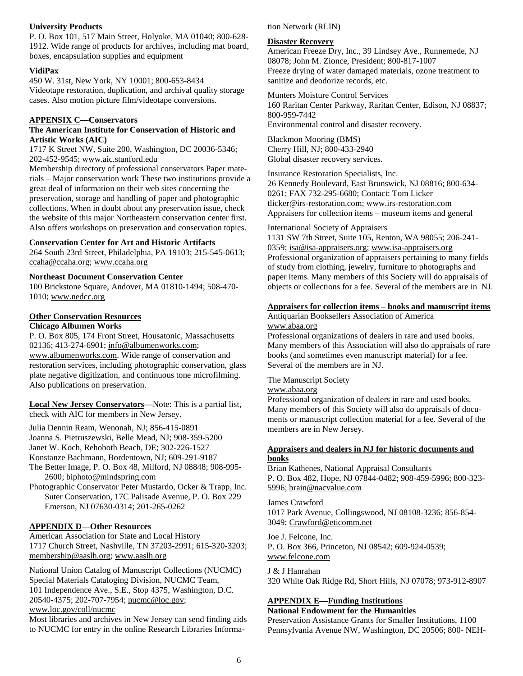#### **University Products**

P. O. Box 101, 517 Main Street, Holyoke, MA 01040; 800-628- 1912. Wide range of products for archives, including mat board, boxes, encapsulation supplies and equipment

#### **VidiPax**

450 W. 31st, New York, NY 10001; 800-653-8434 Videotape restoration, duplication, and archival quality storage cases. Also motion picture film/videotape conversions.

#### **APPENSIX C—Conservators**

#### **The American Institute for Conservation of Historic and Artistic Works (AIC)**

1717 K Street NW, Suite 200, Washington, DC 20036-5346; 202-452-9545; www.aic.stanford.edu

Membership directory of professional conservators Paper materials – Major conservation work These two institutions provide a great deal of information on their web sites concerning the preservation, storage and handling of paper and photographic collections. When in doubt about any preservation issue, check the website of this major Northeastern conservation center first. Also offers workshops on preservation and conservation topics.

#### **Conservation Center for Art and Historic Artifacts**

264 South 23rd Street, Philadelphia, PA 19103; 215-545-0613; ccaha@ccaha.org; www.ccaha.org

#### **Northeast Document Conservation Center**

100 Brickstone Square, Andover, MA 01810-1494; 508-470- 1010; www.nedcc.org

#### **Other Conservation Resources**

#### **Chicago Albumen Works**

P. O. Box 805, 174 Front Street, Housatonic, Massachusetts 02136; 413-274-6901; info@albumenworks.com; www.albumenworks.com. Wide range of conservation and restoration services, including photographic conservation, glass plate negative digitization, and continuous tone microfilming. Also publications on preservation.

**Local New Jersey Conservators—**Note: This is a partial list, check with AIC for members in New Jersey.

Julia Dennin Ream, Wenonah, NJ; 856-415-0891 Joanna S. Pietruszewski, Belle Mead, NJ; 908-359-5200

Janet W. Koch, Rehoboth Beach, DE; 302-226-1527

Konstanze Bachmann, Bordentown, NJ; 609-291-9187

The Better Image, P. O. Box 48, Milford, NJ 08848; 908-995- 2600; biphoto@mindspring.com

Photographic Conservator Peter Mustardo, Ocker & Trapp, Inc. Suter Conservation, 17C Palisade Avenue, P. O. Box 229 Emerson, NJ 07630-0314; 201-265-0262

#### **APPENDIX D—Other Resources**

American Association for State and Local History 1717 Church Street, Nashville, TN 37203-2991; 615-320-3203; membership@aaslh.org; www.aaslh.org

National Union Catalog of Manuscript Collections (NUCMC) Special Materials Cataloging Division, NUCMC Team, 101 Independence Ave., S.E., Stop 4375, Washington, D.C. 20540-4375; 202-707-7954; nucmc@loc.gov;

www.loc.gov/coll/nucmc

Most libraries and archives in New Jersey can send finding aids to NUCMC for entry in the online Research Libraries Information Network (RLIN)

#### **Disaster Recovery**

American Freeze Dry, Inc., 39 Lindsey Ave., Runnemede, NJ 08078; John M. Zionce, President; 800-817-1007 Freeze drying of water damaged materials, ozone treatment to sanitize and deodorize records, etc.

Munters Moisture Control Services 160 Raritan Center Parkway, Raritan Center, Edison, NJ 08837; 800-959-7442 Environmental control and disaster recovery.

Blackmon Mooring (BMS) Cherry Hill, NJ; 800-433-2940 Global disaster recovery services.

Insurance Restoration Specialists, Inc. 26 Kennedy Boulevard, East Brunswick, NJ 08816; 800-634- 0261; FAX 732-295-6680; Contact: Tom Licker tlicker@irs-restoration.com; www.irs-restoration.com Appraisers for collection items – museum items and general

#### International Society of Appraisers

1131 SW 7th Street, Suite 105, Renton, WA 98055; 206-241- 0359; isa@isa-appraisers.org; www.isa-appraisers.org Professional organization of appraisers pertaining to many fields of study from clothing, jewelry, furniture to photographs and paper items. Many members of this Society will do appraisals of objects or collections for a fee. Several of the members are in NJ.

#### **Appraisers for collection items – books and manuscript items**

Antiquarian Booksellers Association of America www.abaa.org

Professional organizations of dealers in rare and used books. Many members of this Association will also do appraisals of rare books (and sometimes even manuscript material) for a fee. Several of the members are in NJ.

The Manuscript Society

www.abaa.org

Professional organization of dealers in rare and used books. Many members of this Society will also do appraisals of documents or manuscript collection material for a fee. Several of the members are in New Jersey.

#### **Appraisers and dealers in NJ for historic documents and books**

Brian Kathenes, National Appraisal Consultants P. O. Box 482, Hope, NJ 07844-0482; 908-459-5996; 800-323- 5996; brain@nacvalue.com

James Crawford 1017 Park Avenue, Collingswood, NJ 08108-3236; 856-854- 3049; Crawford@eticomm.net

Joe J. Felcone, Inc. P. O. Box 366, Princeton, NJ 08542; 609-924-0539; www.felcone.com

J & J Hanrahan 320 White Oak Ridge Rd, Short Hills, NJ 07078; 973-912-8907

#### **APPENDIX E—Funding Institutions**

#### **National Endowment for the Humanities**

Preservation Assistance Grants for Smaller Institutions, 1100 Pennsylvania Avenue NW, Washington, DC 20506; 800- NEH-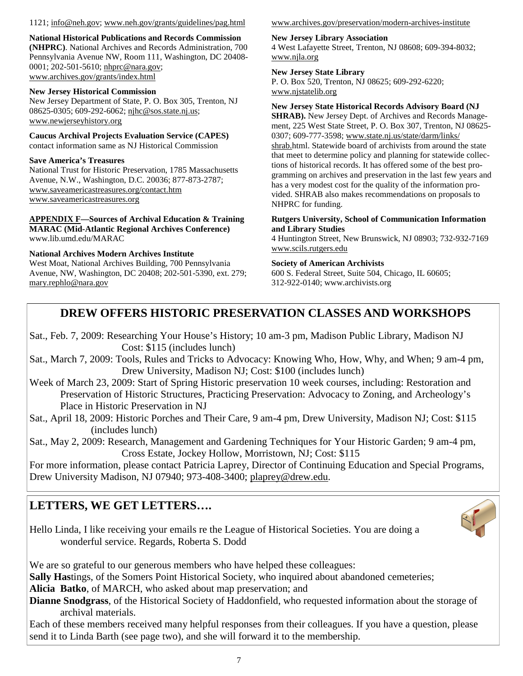#### 1121; info@neh.gov; www.neh.gov/grants/guidelines/pag.html

**National Historical Publications and Records Commission (NHPRC)**. National Archives and Records Administration, 700 Pennsylvania Avenue NW, Room 111, Washington, DC 20408- 0001; 202-501-5610; nhprc@nara.gov; www.archives.gov/grants/index.html

#### **New Jersey Historical Commission**

New Jersey Department of State, P. O. Box 305, Trenton, NJ 08625-0305; 609-292-6062; njhc@sos.state.nj.us; www.newjerseyhistory.org

**Caucus Archival Projects Evaluation Service (CAPES)** contact information same as NJ Historical Commission

#### **Save America's Treasures**

National Trust for Historic Preservation, 1785 Massachusetts Avenue, N.W., Washington, D.C. 20036; 877-873-2787; www.saveamericastreasures.org/contact.htm www.saveamericastreasures.org

#### **APPENDIX F—Sources of Archival Education & Training MARAC (Mid-Atlantic Regional Archives Conference)**  www.lib.umd.edu/MARAC

#### **National Archives Modern Archives Institute**

West Moat, National Archives Building, 700 Pennsylvania Avenue, NW, Washington, DC 20408; 202-501-5390, ext. 279; mary.rephlo@nara.gov

#### www.archives.gov/preservation/modern-archives-institute

#### **New Jersey Library Association**

4 West Lafayette Street, Trenton, NJ 08608; 609-394-8032; www.njla.org

#### **New Jersey State Library**

P. O. Box 520, Trenton, NJ 08625; 609-292-6220; www.njstatelib.org

#### **New Jersey State Historical Records Advisory Board (NJ**

**SHRAB).** New Jersey Dept. of Archives and Records Management, 225 West State Street, P. O. Box 307, Trenton, NJ 08625- 0307; 609-777-3598; www.state.nj.us/state/darm/links/ shrab.html. Statewide board of archivists from around the state that meet to determine policy and planning for statewide collections of historical records. It has offered some of the best programming on archives and preservation in the last few years and has a very modest cost for the quality of the information provided. SHRAB also makes recommendations on proposals to NHPRC for funding.

#### **Rutgers University, School of Communication Information and Library Studies**

4 Huntington Street, New Brunswick, NJ 08903; 732-932-7169 www.scils.rutgers.edu

#### **Society of American Archivists**

600 S. Federal Street, Suite 504, Chicago, IL 60605; 312-922-0140; www.archivists.org

# **DREW OFFERS HISTORIC PRESERVATION CLASSES AND WORKSHOPS**

- Sat., Feb. 7, 2009: Researching Your House's History; 10 am-3 pm, Madison Public Library, Madison NJ Cost: \$115 (includes lunch)
- Sat., March 7, 2009: Tools, Rules and Tricks to Advocacy: Knowing Who, How, Why, and When; 9 am-4 pm, Drew University, Madison NJ; Cost: \$100 (includes lunch)
- Week of March 23, 2009: Start of Spring Historic preservation 10 week courses, including: Restoration and Preservation of Historic Structures, Practicing Preservation: Advocacy to Zoning, and Archeology's Place in Historic Preservation in NJ
- Sat., April 18, 2009: Historic Porches and Their Care, 9 am-4 pm, Drew University, Madison NJ; Cost: \$115 (includes lunch)

Sat., May 2, 2009: Research, Management and Gardening Techniques for Your Historic Garden; 9 am-4 pm, Cross Estate, Jockey Hollow, Morristown, NJ; Cost: \$115

For more information, please contact Patricia Laprey, Director of Continuing Education and Special Programs, Drew University Madison, NJ 07940; 973-408-3400; plaprey@drew.edu.

# **LETTERS, WE GET LETTERS….**

Hello Linda, I like receiving your emails re the League of Historical Societies. You are doing a wonderful service. Regards, Roberta S. Dodd



We are so grateful to our generous members who have helped these colleagues:

**Sally Has**tings, of the Somers Point Historical Society, who inquired about abandoned cemeteries;

**Alicia Batko**, of MARCH, who asked about map preservation; and

**Dianne Snodgrass**, of the Historical Society of Haddonfield, who requested information about the storage of archival materials.

Each of these members received many helpful responses from their colleagues. If you have a question, please send it to Linda Barth (see page two), and she will forward it to the membership.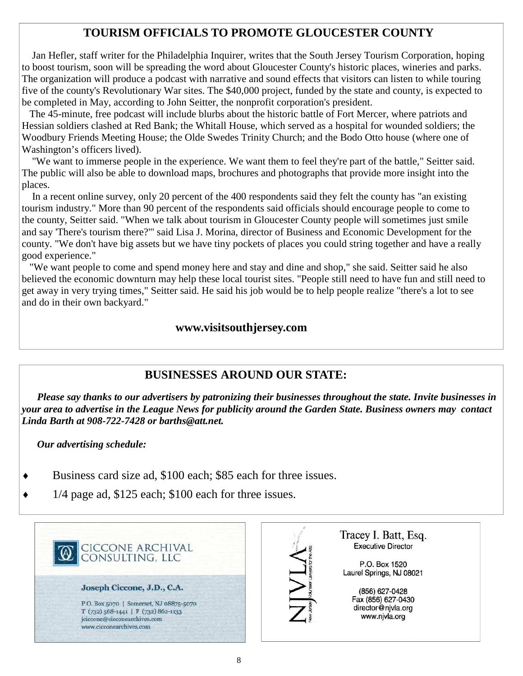# **TOURISM OFFICIALS TO PROMOTE GLOUCESTER COUNTY**

 Jan Hefler, staff writer for the Philadelphia Inquirer, writes that the South Jersey Tourism Corporation, hoping to boost tourism, soon will be spreading the word about Gloucester County's historic places, wineries and parks. The organization will produce a podcast with narrative and sound effects that visitors can listen to while touring five of the county's Revolutionary War sites. The \$40,000 project, funded by the state and county, is expected to be completed in May, according to John Seitter, the nonprofit corporation's president.

 The 45-minute, free podcast will include blurbs about the historic battle of Fort Mercer, where patriots and Hessian soldiers clashed at Red Bank; the Whitall House, which served as a hospital for wounded soldiers; the Woodbury Friends Meeting House; the Olde Swedes Trinity Church; and the Bodo Otto house (where one of Washington's officers lived).

 "We want to immerse people in the experience. We want them to feel they're part of the battle," Seitter said. The public will also be able to download maps, brochures and photographs that provide more insight into the places.

 In a recent online survey, only 20 percent of the 400 respondents said they felt the county has "an existing tourism industry." More than 90 percent of the respondents said officials should encourage people to come to the county, Seitter said. "When we talk about tourism in Gloucester County people will sometimes just smile and say 'There's tourism there?'" said Lisa J. Morina, director of Business and Economic Development for the county. "We don't have big assets but we have tiny pockets of places you could string together and have a really good experience."

 "We want people to come and spend money here and stay and dine and shop," she said. Seitter said he also believed the economic downturn may help these local tourist sites. "People still need to have fun and still need to get away in very trying times," Seitter said. He said his job would be to help people realize "there's a lot to see and do in their own backyard."

#### **www.visitsouthjersey.com**

#### **BUSINESSES AROUND OUR STATE:**

 *Please say thanks to our advertisers by patronizing their businesses throughout the state. Invite businesses in your area to advertise in the League News for publicity around the Garden State. Business owners may contact Linda Barth at 908-722-7428 or barths@att.net.* 

 *Our advertising schedule:* 

- $\bullet$  Business card size ad, \$100 each; \$85 each for three issues.
- $\bullet$  1/4 page ad, \$125 each; \$100 each for three issues.

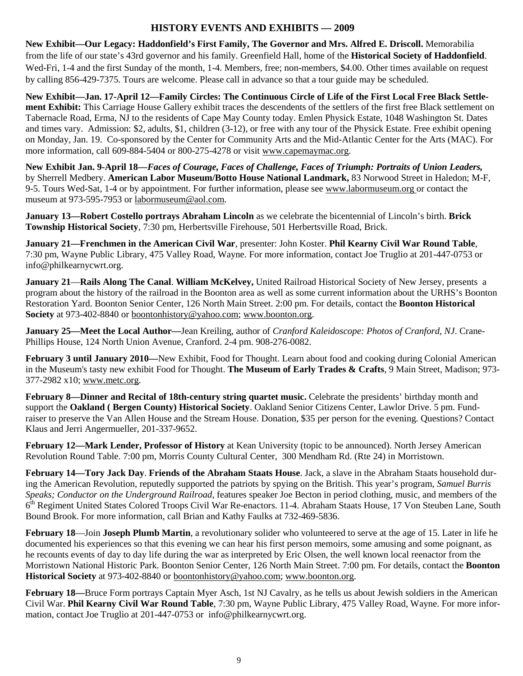## **HISTORY EVENTS AND EXHIBITS — 2009**

**New Exhibit—Our Legacy: Haddonfield's First Family, The Governor and Mrs. Alfred E. Driscoll.** Memorabilia from the life of our state's 43rd governor and his family. Greenfield Hall, home of the **Historical Society of Haddonfield**. Wed-Fri, 1-4 and the first Sunday of the month, 1-4. Members, free; non-members, \$4.00. Other times available on request by calling 856-429-7375. Tours are welcome. Please call in advance so that a tour guide may be scheduled.

**New Exhibit—Jan. 17-April 12—Family Circles: The Continuous Circle of Life of the First Local Free Black Settlement Exhibit:** This Carriage House Gallery exhibit traces the descendents of the settlers of the first free Black settlement on Tabernacle Road, Erma, NJ to the residents of Cape May County today. Emlen Physick Estate, 1048 Washington St. Dates and times vary. Admission: \$2, adults, \$1, children (3-12), or free with any tour of the Physick Estate. Free exhibit opening on Monday, Jan. 19. Co-sponsored by the Center for Community Arts and the Mid-Atlantic Center for the Arts (MAC). For more information, call 609-884-5404 or 800-275-4278 or visit www.capemaymac.org.

**New Exhibit Jan. 9-April 18—***Faces of Courage, Faces of Challenge, Faces of Triumph: Portraits of Union Leaders,*  by Sherrell Medbery. **American Labor Museum/Botto House National Landmark,** 83 Norwood Street in Haledon; M-F, 9-5. Tours Wed-Sat, 1-4 or by appointment. For further information, please see www.labormuseum.org or contact the museum at 973-595-7953 or labormuseum@aol.com.

**January 13—Robert Costello portrays Abraham Lincoln** as we celebrate the bicentennial of Lincoln's birth. **Brick Township Historical Society**, 7:30 pm, Herbertsville Firehouse, 501 Herbertsville Road, Brick.

**January 21—Frenchmen in the American Civil War**, presenter: John Koster. **Phil Kearny Civil War Round Table**, 7:30 pm, Wayne Public Library, 475 Valley Road, Wayne. For more information, contact Joe Truglio at 201-447-0753 or info@philkearnycwrt.org.

**January 21**—**Rails Along The Canal**. **William McKelvey,** United Railroad Historical Society of New Jersey, presents a program about the history of the railroad in the Boonton area as well as some current information about the URHS's Boonton Restoration Yard. Boonton Senior Center, 126 North Main Street. 2:00 pm. For details, contact the **Boonton Historical Society** at 973-402-8840 or boontonhistory@yahoo.com; www.boonton.org.

**January 25—Meet the Local Author—**Jean Kreiling, author of *Cranford Kaleidoscope: Photos of Cranford, NJ*. Crane-Phillips House, 124 North Union Avenue, Cranford. 2-4 pm. 908-276-0082.

**February 3 until January 2010—**New Exhibit, Food for Thought. Learn about food and cooking during Colonial American in the Museum's tasty new exhibit Food for Thought. **The Museum of Early Trades & Crafts**, 9 Main Street, Madison; 973- 377-2982 x10; www.metc.org.

**February 8—Dinner and Recital of 18th-century string quartet music.** Celebrate the presidents' birthday month and support the **Oakland ( Bergen County) Historical Society**. Oakland Senior Citizens Center, Lawlor Drive. 5 pm. Fundraiser to preserve the Van Allen House and the Stream House. Donation, \$35 per person for the evening. Questions? Contact Klaus and Jerri Angermueller, 201-337-9652.

**February 12—Mark Lender, Professor of History** at Kean University (topic to be announced). North Jersey American Revolution Round Table. 7:00 pm, Morris County Cultural Center, 300 Mendham Rd. (Rte 24) in Morristown.

**February 14—Tory Jack Day**. **Friends of the Abraham Staats House**. Jack, a slave in the Abraham Staats household during the American Revolution, reputedly supported the patriots by spying on the British. This year's program, *Samuel Burris Speaks; Conductor on the Underground Railroad*, features speaker Joe Becton in period clothing, music, and members of the 6<sup>th</sup> Regiment United States Colored Troops Civil War Re-enactors. 11-4. Abraham Staats House, 17 Von Steuben Lane, South Bound Brook. For more information, call Brian and Kathy Faulks at 732-469-5836.

**February 18**—Join **Joseph Plumb Martin**, a revolutionary solider who volunteered to serve at the age of 15. Later in life he documented his experiences so that this evening we can hear his first person memoirs, some amusing and some poignant, as he recounts events of day to day life during the war as interpreted by Eric Olsen, the well known local reenactor from the Morristown National Historic Park. Boonton Senior Center, 126 North Main Street. 7:00 pm. For details, contact the **Boonton Historical Society** at 973-402-8840 or boontonhistory@yahoo.com; www.boonton.org.

**February 18—**Bruce Form portrays Captain Myer Asch, 1st NJ Cavalry, as he tells us about Jewish soldiers in the American Civil War. **Phil Kearny Civil War Round Table**, 7:30 pm, Wayne Public Library, 475 Valley Road, Wayne. For more information, contact Joe Truglio at 201-447-0753 or info@philkearnycwrt.org.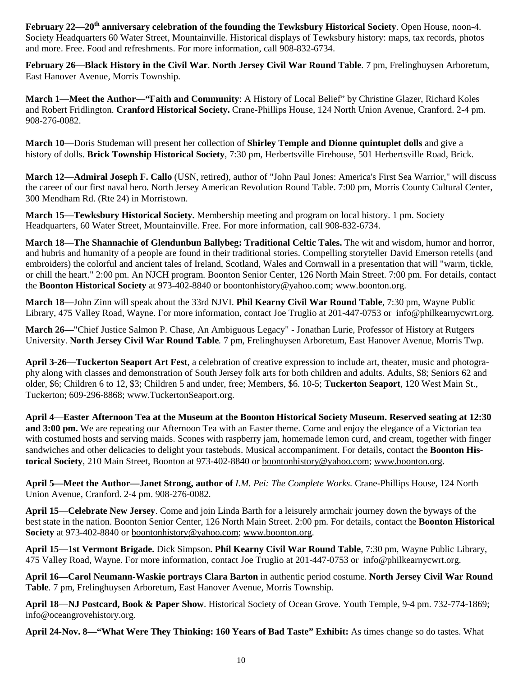**February 22—20th anniversary celebration of the founding the Tewksbury Historical Society**. Open House, noon-4. Society Headquarters 60 Water Street, Mountainville. Historical displays of Tewksbury history: maps, tax records, photos and more. Free. Food and refreshments. For more information, call 908-832-6734.

**February 26—Black History in the Civil War**. **North Jersey Civil War Round Table***.* 7 pm, Frelinghuysen Arboretum, East Hanover Avenue, Morris Township.

**March 1—Meet the Author—"Faith and Community**: A History of Local Belief" by Christine Glazer, Richard Koles and Robert Fridlington. **Cranford Historical Society.** Crane-Phillips House, 124 North Union Avenue, Cranford. 2-4 pm. 908-276-0082.

**March 10—**Doris Studeman will present her collection of **Shirley Temple and Dionne quintuplet dolls** and give a history of dolls. **Brick Township Historical Society**, 7:30 pm, Herbertsville Firehouse, 501 Herbertsville Road, Brick.

**March 12—Admiral Joseph F. Callo** (USN, retired), author of "John Paul Jones: America's First Sea Warrior," will discuss the career of our first naval hero. North Jersey American Revolution Round Table. 7:00 pm, Morris County Cultural Center, 300 Mendham Rd. (Rte 24) in Morristown.

**March 15—Tewksbury Historical Society.** Membership meeting and program on local history. 1 pm. Society Headquarters, 60 Water Street, Mountainville. Free. For more information, call 908-832-6734.

**March 18**—**The Shannachie of Glendunbun Ballybeg: Traditional Celtic Tales.** The wit and wisdom, humor and horror, and hubris and humanity of a people are found in their traditional stories. Compelling storyteller David Emerson retells (and embroiders) the colorful and ancient tales of Ireland, Scotland, Wales and Cornwall in a presentation that will "warm, tickle, or chill the heart." 2:00 pm. An NJCH program. Boonton Senior Center, 126 North Main Street. 7:00 pm. For details, contact the **Boonton Historical Society** at 973-402-8840 or boontonhistory@yahoo.com; www.boonton.org.

**March 18—**John Zinn will speak about the 33rd NJVI. **Phil Kearny Civil War Round Table**, 7:30 pm, Wayne Public Library, 475 Valley Road, Wayne. For more information, contact Joe Truglio at 201-447-0753 or info@philkearnycwrt.org.

**March 26—**"Chief Justice Salmon P. Chase, An Ambiguous Legacy" - Jonathan Lurie, Professor of History at Rutgers University. **North Jersey Civil War Round Table***.* 7 pm, Frelinghuysen Arboretum, East Hanover Avenue, Morris Twp.

**April 3-26—Tuckerton Seaport Art Fest**, a celebration of creative expression to include art, theater, music and photography along with classes and demonstration of South Jersey folk arts for both children and adults. Adults, \$8; Seniors 62 and older, \$6; Children 6 to 12, \$3; Children 5 and under, free; Members, \$6. 10-5; **Tuckerton Seaport**, 120 West Main St., Tuckerton; 609-296-8868; www.TuckertonSeaport.org.

**April 4**—**Easter Afternoon Tea at the Museum at the Boonton Historical Society Museum. Reserved seating at 12:30 and 3:00 pm.** We are repeating our Afternoon Tea with an Easter theme. Come and enjoy the elegance of a Victorian tea with costumed hosts and serving maids. Scones with raspberry jam, homemade lemon curd, and cream, together with finger sandwiches and other delicacies to delight your tastebuds. Musical accompaniment. For details, contact the **Boonton Historical Society**, 210 Main Street, Boonton at 973-402-8840 or boontonhistory@yahoo.com; www.boonton.org.

**April 5—Meet the Author—Janet Strong, author of** *I.M. Pei: The Complete Works.* Crane-Phillips House, 124 North Union Avenue, Cranford. 2-4 pm. 908-276-0082.

**April 15**—**Celebrate New Jersey**. Come and join Linda Barth for a leisurely armchair journey down the byways of the best state in the nation. Boonton Senior Center, 126 North Main Street. 2:00 pm. For details, contact the **Boonton Historical Society** at 973-402-8840 or boontonhistory@yahoo.com; www.boonton.org.

**April 15—1st Vermont Brigade.** Dick Simpson**. Phil Kearny Civil War Round Table**, 7:30 pm, Wayne Public Library, 475 Valley Road, Wayne. For more information, contact Joe Truglio at 201-447-0753 or info@philkearnycwrt.org.

**April 16—Carol Neumann-Waskie portrays Clara Barton** in authentic period costume. **North Jersey Civil War Round Table***.* 7 pm, Frelinghuysen Arboretum, East Hanover Avenue, Morris Township.

**April 18**—**NJ Postcard, Book & Paper Show**. Historical Society of Ocean Grove. Youth Temple, 9-4 pm. 732-774-1869; info@oceangrovehistory.org.

**April 24-Nov. 8—"What Were They Thinking: 160 Years of Bad Taste" Exhibit:** As times change so do tastes. What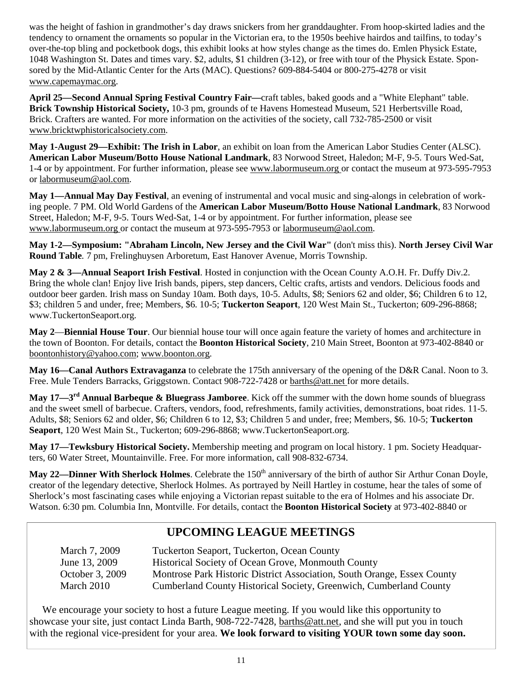was the height of fashion in grandmother's day draws snickers from her granddaughter. From hoop-skirted ladies and the tendency to ornament the ornaments so popular in the Victorian era, to the 1950s beehive hairdos and tailfins, to today's over-the-top bling and pocketbook dogs, this exhibit looks at how styles change as the times do. Emlen Physick Estate, 1048 Washington St. Dates and times vary. \$2, adults, \$1 children (3-12), or free with tour of the Physick Estate. Sponsored by the Mid-Atlantic Center for the Arts (MAC). Questions? 609-884-5404 or 800-275-4278 or visit www.capemaymac.org.

**April 25—Second Annual Spring Festival Country Fair—**craft tables, baked goods and a "White Elephant" table. **Brick Township Historical Society,** 10-3 pm, grounds of te Havens Homestead Museum, 521 Herbertsville Road, Brick. Crafters are wanted. For more information on the activities of the society, call 732-785-2500 or visit www.bricktwphistoricalsociety.com.

**May 1-August 29—Exhibit: The Irish in Labor**, an exhibit on loan from the American Labor Studies Center (ALSC). **American Labor Museum/Botto House National Landmark**, 83 Norwood Street, Haledon; M-F, 9-5. Tours Wed-Sat, 1-4 or by appointment. For further information, please see www.labormuseum.org or contact the museum at 973-595-7953 or labormuseum@aol.com.

**May 1—Annual May Day Festival**, an evening of instrumental and vocal music and sing-alongs in celebration of working people. 7 PM. Old World Gardens of the **American Labor Museum/Botto House National Landmark**, 83 Norwood Street, Haledon; M-F, 9-5. Tours Wed-Sat, 1-4 or by appointment. For further information, please see www.labormuseum.org or contact the museum at 973-595-7953 or labormuseum@aol.com.

**May 1-2—Symposium: "Abraham Lincoln, New Jersey and the Civil War"** (don't miss this). **North Jersey Civil War Round Table***.* 7 pm, Frelinghuysen Arboretum, East Hanover Avenue, Morris Township.

**May 2 & 3—Annual Seaport Irish Festival**. Hosted in conjunction with the Ocean County A.O.H. Fr. Duffy Div.2. Bring the whole clan! Enjoy live Irish bands, pipers, step dancers, Celtic crafts, artists and vendors. Delicious foods and outdoor beer garden. Irish mass on Sunday 10am. Both days, 10-5. Adults, \$8; Seniors 62 and older, \$6; Children 6 to 12, \$3; children 5 and under, free; Members, \$6. 10-5; **Tuckerton Seaport**, 120 West Main St., Tuckerton; 609-296-8868; www.TuckertonSeaport.org.

**May 2**—**Biennial House Tour**. Our biennial house tour will once again feature the variety of homes and architecture in the town of Boonton. For details, contact the **Boonton Historical Society**, 210 Main Street, Boonton at 973-402-8840 or boontonhistory@yahoo.com; www.boonton.org.

**May 16—Canal Authors Extravaganza** to celebrate the 175th anniversary of the opening of the D&R Canal. Noon to 3. Free. Mule Tenders Barracks, Griggstown. Contact 908-722-7428 or barths@att.net for more details.

**May 17—3rd Annual Barbeque & Bluegrass Jamboree**. Kick off the summer with the down home sounds of bluegrass and the sweet smell of barbecue. Crafters, vendors, food, refreshments, family activities, demonstrations, boat rides. 11-5. Adults, \$8; Seniors 62 and older, \$6; Children 6 to 12, \$3; Children 5 and under, free; Members, \$6. 10-5; **Tuckerton Seaport**, 120 West Main St., Tuckerton; 609-296-8868; www.TuckertonSeaport.org.

**May 17—Tewksbury Historical Society.** Membership meeting and program on local history. 1 pm. Society Headquarters, 60 Water Street, Mountainville. Free. For more information, call 908-832-6734.

**May 22—Dinner With Sherlock Holmes**. Celebrate the 150<sup>th</sup> anniversary of the birth of author Sir Arthur Conan Doyle, creator of the legendary detective, Sherlock Holmes. As portrayed by Neill Hartley in costume, hear the tales of some of Sherlock's most fascinating cases while enjoying a Victorian repast suitable to the era of Holmes and his associate Dr. Watson. 6:30 pm. Columbia Inn, Montville. For details, contact the **Boonton Historical Society** at 973-402-8840 or

# **UPCOMING LEAGUE MEETINGS**

| March 7, 2009   | Tuckerton Seaport, Tuckerton, Ocean County                              |
|-----------------|-------------------------------------------------------------------------|
| June 13, 2009   | Historical Society of Ocean Grove, Monmouth County                      |
| October 3, 2009 | Montrose Park Historic District Association, South Orange, Essex County |
| March 2010      | Cumberland County Historical Society, Greenwich, Cumberland County      |

 We encourage your society to host a future League meeting. If you would like this opportunity to showcase your site, just contact Linda Barth, 908-722-7428, barths@att.net, and she will put you in touch with the regional vice-president for your area. **We look forward to visiting YOUR town some day soon.**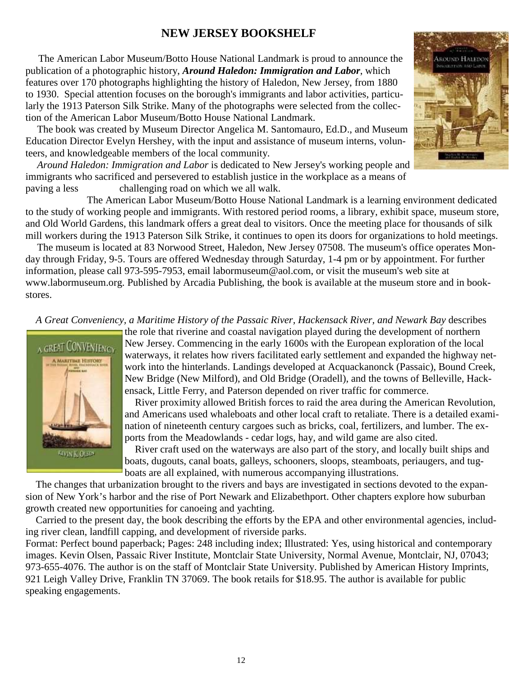## **NEW JERSEY BOOKSHELF**

 The American Labor Museum/Botto House National Landmark is proud to announce the publication of a photographic history, *Around Haledon: Immigration and Labor*, which features over 170 photographs highlighting the history of Haledon, New Jersey, from 1880 to 1930. Special attention focuses on the borough's immigrants and labor activities, particularly the 1913 Paterson Silk Strike. Many of the photographs were selected from the collection of the American Labor Museum/Botto House National Landmark.

 The book was created by Museum Director Angelica M. Santomauro, Ed.D., and Museum Education Director Evelyn Hershey, with the input and assistance of museum interns, volunteers, and knowledgeable members of the local community.

*Around Haledon: Immigration and Labor* is dedicated to New Jersey's working people and immigrants who sacrificed and persevered to establish justice in the workplace as a means of paving a less challenging road on which we all walk.

 The American Labor Museum/Botto House National Landmark is a learning environment dedicated to the study of working people and immigrants. With restored period rooms, a library, exhibit space, museum store, and Old World Gardens, this landmark offers a great deal to visitors. Once the meeting place for thousands of silk mill workers during the 1913 Paterson Silk Strike, it continues to open its doors for organizations to hold meetings.

 The museum is located at 83 Norwood Street, Haledon, New Jersey 07508. The museum's office operates Monday through Friday, 9-5. Tours are offered Wednesday through Saturday, 1-4 pm or by appointment. For further information, please call 973-595-7953, email labormuseum@aol.com, or visit the museum's web site at www.labormuseum.org. Published by Arcadia Publishing, the book is available at the museum store and in bookstores.

 *A Great Conveniency, a Maritime History of the Passaic River, Hackensack River, and Newark Bay* describes



the role that riverine and coastal navigation played during the development of northern New Jersey. Commencing in the early 1600s with the European exploration of the local waterways, it relates how rivers facilitated early settlement and expanded the highway network into the hinterlands. Landings developed at Acquackanonck (Passaic), Bound Creek, New Bridge (New Milford), and Old Bridge (Oradell), and the towns of Belleville, Hackensack, Little Ferry, and Paterson depended on river traffic for commerce.

 River proximity allowed British forces to raid the area during the American Revolution, and Americans used whaleboats and other local craft to retaliate. There is a detailed examination of nineteenth century cargoes such as bricks, coal, fertilizers, and lumber. The exports from the Meadowlands - cedar logs, hay, and wild game are also cited.

 River craft used on the waterways are also part of the story, and locally built ships and boats, dugouts, canal boats, galleys, schooners, sloops, steamboats, periaugers, and tugboats are all explained, with numerous accompanying illustrations.

 The changes that urbanization brought to the rivers and bays are investigated in sections devoted to the expansion of New York's harbor and the rise of Port Newark and Elizabethport. Other chapters explore how suburban growth created new opportunities for canoeing and yachting.

 Carried to the present day, the book describing the efforts by the EPA and other environmental agencies, including river clean, landfill capping, and development of riverside parks.

Format: Perfect bound paperback; Pages: 248 including index; Illustrated: Yes, using historical and contemporary images. Kevin Olsen, Passaic River Institute, Montclair State University, Normal Avenue, Montclair, NJ, 07043; 973-655-4076. The author is on the staff of Montclair State University. Published by American History Imprints, 921 Leigh Valley Drive, Franklin TN 37069. The book retails for \$18.95. The author is available for public speaking engagements.

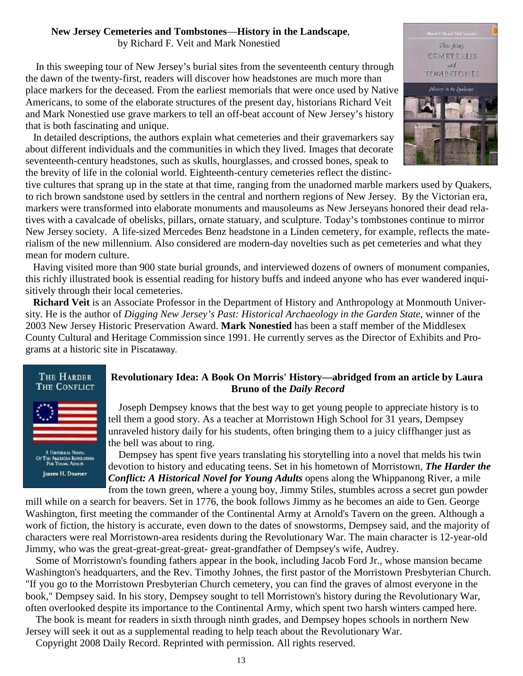#### **New Jersey Cemeteries and Tombstones**—**History in the Landscape**,

by Richard F. Veit and Mark Nonestied

 In this sweeping tour of New Jersey's burial sites from the seventeenth century through the dawn of the twenty-first, readers will discover how headstones are much more than place markers for the deceased. From the earliest memorials that were once used by Native Americans, to some of the elaborate structures of the present day, historians Richard Veit and Mark Nonestied use grave markers to tell an off-beat account of New Jersey's history that is both fascinating and unique.

 In detailed descriptions, the authors explain what cemeteries and their gravemarkers say about different individuals and the communities in which they lived. Images that decorate seventeenth-century headstones, such as skulls, hourglasses, and crossed bones, speak to the brevity of life in the colonial world. Eighteenth-century cemeteries reflect the distinc-

tive cultures that sprang up in the state at that time, ranging from the unadorned marble markers used by Quakers, to rich brown sandstone used by settlers in the central and northern regions of New Jersey. By the Victorian era, markers were transformed into elaborate monuments and mausoleums as New Jerseyans honored their dead relatives with a cavalcade of obelisks, pillars, ornate statuary, and sculpture. Today's tombstones continue to mirror New Jersey society. A life-sized Mercedes Benz headstone in a Linden cemetery, for example, reflects the materialism of the new millennium. Also considered are modern-day novelties such as pet cemeteries and what they mean for modern culture.

 Having visited more than 900 state burial grounds, and interviewed dozens of owners of monument companies, this richly illustrated book is essential reading for history buffs and indeed anyone who has ever wandered inquisitively through their local cemeteries.

 **Richard Veit** is an Associate Professor in the Department of History and Anthropology at Monmouth University. He is the author of *Digging New Jersey's Past: Historical Archaeology in the Garden State*, winner of the 2003 New Jersey Historic Preservation Award. **Mark Nonestied** has been a staff member of the Middlesex County Cultural and Heritage Commission since 1991. He currently serves as the Director of Exhibits and Programs at a historic site in Piscataway.



#### **Revolutionary Idea: A Book On Morris' History—abridged from an article by Laura Bruno of the** *Daily Record*

 Joseph Dempsey knows that the best way to get young people to appreciate history is to tell them a good story. As a teacher at Morristown High School for 31 years, Dempsey unraveled history daily for his students, often bringing them to a juicy cliffhanger just as the bell was about to ring.

 Dempsey has spent five years translating his storytelling into a novel that melds his twin devotion to history and educating teens. Set in his hometown of Morristown, *The Harder the Conflict: A Historical Novel for Young Adults* opens along the Whippanong River, a mile from the town green, where a young boy, Jimmy Stiles, stumbles across a secret gun powder

mill while on a search for beavers. Set in 1776, the book follows Jimmy as he becomes an aide to Gen. George Washington, first meeting the commander of the Continental Army at Arnold's Tavern on the green. Although a work of fiction, the history is accurate, even down to the dates of snowstorms, Dempsey said, and the majority of characters were real Morristown-area residents during the Revolutionary War. The main character is 12-year-old Jimmy, who was the great-great-great-great- great-grandfather of Dempsey's wife, Audrey.

 Some of Morristown's founding fathers appear in the book, including Jacob Ford Jr., whose mansion became Washington's headquarters, and the Rev. Timothy Johnes, the first pastor of the Morristown Presbyterian Church. "If you go to the Morristown Presbyterian Church cemetery, you can find the graves of almost everyone in the book," Dempsey said. In his story, Dempsey sought to tell Morristown's history during the Revolutionary War, often overlooked despite its importance to the Continental Army, which spent two harsh winters camped here.

 The book is meant for readers in sixth through ninth grades, and Dempsey hopes schools in northern New Jersey will seek it out as a supplemental reading to help teach about the Revolutionary War.

13

Copyright 2008 Daily Record. Reprinted with permission. All rights reserved.

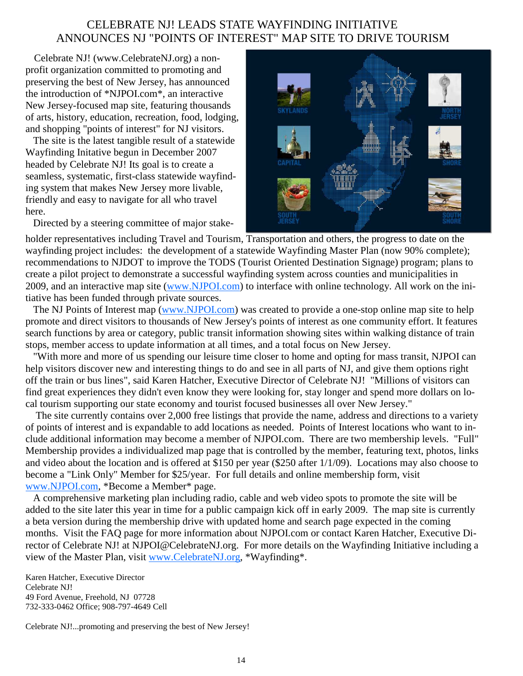# CELEBRATE NJ! LEADS STATE WAYFINDING INITIATIVE ANNOUNCES NJ "POINTS OF INTEREST" MAP SITE TO DRIVE TOURISM

 Celebrate NJ! (www.CelebrateNJ.org) a nonprofit organization committed to promoting and preserving the best of New Jersey, has announced the introduction of \*NJPOI.com\*, an interactive New Jersey-focused map site, featuring thousands of arts, history, education, recreation, food, lodging, and shopping "points of interest" for NJ visitors.

 The site is the latest tangible result of a statewide Wayfinding Initative begun in December 2007 headed by Celebrate NJ! Its goal is to create a seamless, systematic, first-class statewide wayfinding system that makes New Jersey more livable, friendly and easy to navigate for all who travel here.

Directed by a steering committee of major stake-



holder representatives including Travel and Tourism, Transportation and others, the progress to date on the wayfinding project includes: the development of a statewide Wayfinding Master Plan (now 90% complete); recommendations to NJDOT to improve the TODS (Tourist Oriented Destination Signage) program; plans to create a pilot project to demonstrate a successful wayfinding system across counties and municipalities in 2009, and an interactive map site (www.NJPOI.com) to interface with online technology. All work on the initiative has been funded through private sources.

The NJ Points of Interest map (www.NJPOI.com) was created to provide a one-stop online map site to help promote and direct visitors to thousands of New Jersey's points of interest as one community effort. It features search functions by area or category, public transit information showing sites within walking distance of train stops, member access to update information at all times, and a total focus on New Jersey.

 "With more and more of us spending our leisure time closer to home and opting for mass transit, NJPOI can help visitors discover new and interesting things to do and see in all parts of NJ, and give them options right off the train or bus lines", said Karen Hatcher, Executive Director of Celebrate NJ! "Millions of visitors can find great experiences they didn't even know they were looking for, stay longer and spend more dollars on local tourism supporting our state economy and tourist focused businesses all over New Jersey."

 The site currently contains over 2,000 free listings that provide the name, address and directions to a variety of points of interest and is expandable to add locations as needed. Points of Interest locations who want to include additional information may become a member of NJPOI.com. There are two membership levels. "Full" Membership provides a individualized map page that is controlled by the member, featuring text, photos, links and video about the location and is offered at \$150 per year (\$250 after 1/1/09). Locations may also choose to become a "Link Only" Member for \$25/year. For full details and online membership form, visit www.NJPOI.com, \*Become a Member\* page.

 A comprehensive marketing plan including radio, cable and web video spots to promote the site will be added to the site later this year in time for a public campaign kick off in early 2009. The map site is currently a beta version during the membership drive with updated home and search page expected in the coming months. Visit the FAQ page for more information about NJPOI.com or contact Karen Hatcher, Executive Director of Celebrate NJ! at NJPOI@CelebrateNJ.org. For more details on the Wayfinding Initiative including a view of the Master Plan, visit www.CelebrateNJ.org, \*Wayfinding\*.

Karen Hatcher, Executive Director Celebrate NJ! 49 Ford Avenue, Freehold, NJ 07728 732-333-0462 Office; 908-797-4649 Cell

Celebrate NJ!...promoting and preserving the best of New Jersey!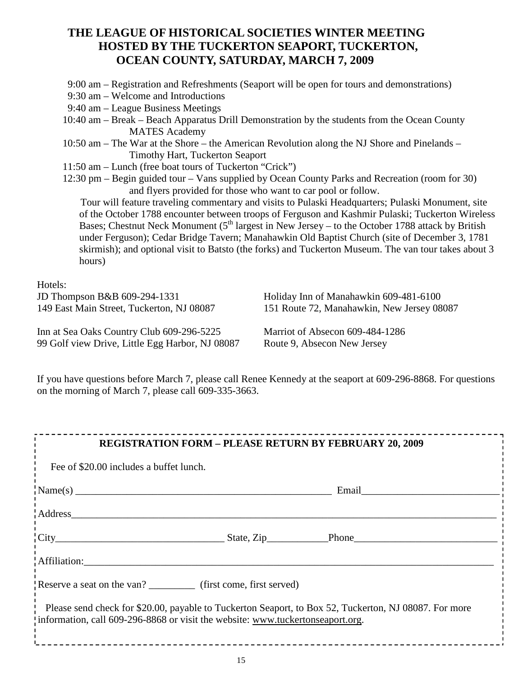# **THE LEAGUE OF HISTORICAL SOCIETIES WINTER MEETING HOSTED BY THE TUCKERTON SEAPORT, TUCKERTON, OCEAN COUNTY, SATURDAY, MARCH 7, 2009**

- 9:00 am Registration and Refreshments (Seaport will be open for tours and demonstrations)
- 9:30 am Welcome and Introductions
- 9:40 am League Business Meetings
- 10:40 am Break Beach Apparatus Drill Demonstration by the students from the Ocean County MATES Academy
- 10:50 am The War at the Shore the American Revolution along the NJ Shore and Pinelands Timothy Hart, Tuckerton Seaport
- 11:50 am Lunch (free boat tours of Tuckerton "Crick")
- 12:30 pm Begin guided tour Vans supplied by Ocean County Parks and Recreation (room for 30) and flyers provided for those who want to car pool or follow.

Tour will feature traveling commentary and visits to Pulaski Headquarters; Pulaski Monument, site of the October 1788 encounter between troops of Ferguson and Kashmir Pulaski; Tuckerton Wireless Bases; Chestnut Neck Monument  $(5<sup>th</sup>$  largest in New Jersey – to the October 1788 attack by British under Ferguson); Cedar Bridge Tavern; Manahawkin Old Baptist Church (site of December 3, 1781 skirmish); and optional visit to Batsto (the forks) and Tuckerton Museum. The van tour takes about 3 hours)

Hotels:

JD Thompson B&B 609-294-1331 149 East Main Street, Tuckerton, NJ 08087

Holiday Inn of Manahawkin 609-481-6100 151 Route 72, Manahawkin, New Jersey 08087

Inn at Sea Oaks Country Club 609-296-5225 99 Golf view Drive, Little Egg Harbor, NJ 08087 Marriot of Absecon 609-484-1286 Route 9, Absecon New Jersey

If you have questions before March 7, please call Renee Kennedy at the seaport at 609-296-8868. For questions on the morning of March 7, please call 609-335-3663.

| <b>REGISTRATION FORM - PLEASE RETURN BY FEBRUARY 20, 2009</b>                                                                                                                           |  |                     |  |
|-----------------------------------------------------------------------------------------------------------------------------------------------------------------------------------------|--|---------------------|--|
| Fee of \$20.00 includes a buffet lunch.                                                                                                                                                 |  |                     |  |
|                                                                                                                                                                                         |  |                     |  |
| $\frac{1}{1}$ Address                                                                                                                                                                   |  |                     |  |
|                                                                                                                                                                                         |  | $\text{City}$ Phone |  |
|                                                                                                                                                                                         |  |                     |  |
| Reserve a seat on the van? _____________ (first come, first served)                                                                                                                     |  |                     |  |
| Please send check for \$20.00, payable to Tuckerton Seaport, to Box 52, Tuckerton, NJ 08087. For more<br>Information, call 609-296-8868 or visit the website: www.tuckertonseaport.org. |  |                     |  |